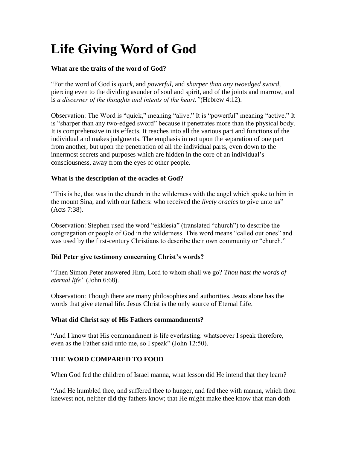# **Life Giving Word of God**

# **What are the traits of the word of God?**

"For the word of God is *quick,* and *powerful,* and *sharper than any twoedged sword,*  piercing even to the dividing asunder of soul and spirit, and of the joints and marrow, and is *a discerner of the thoughts and intents of the heart."*(Hebrew 4:12).

Observation: The Word is "quick," meaning "alive." It is "powerful" meaning "active." It is "sharper than any two-edged sword" because it penetrates more than the physical body. It is comprehensive in its effects. It reaches into all the various part and functions of the individual and makes judgments. The emphasis in not upon the separation of one part from another, but upon the penetration of all the individual parts, even down to the innermost secrets and purposes which are hidden in the core of an individual's consciousness, away from the eyes of other people.

## **What is the description of the oracles of God?**

"This is he, that was in the church in the wilderness with the angel which spoke to him in the mount Sina, and with our fathers: who received the *lively oracles* to give unto us" (Acts 7:38).

Observation: Stephen used the word "ekklesia" (translated "church") to describe the congregation or people of God in the wilderness. This word means "called out ones" and was used by the first-century Christians to describe their own community or "church."

## **Did Peter give testimony concerning Christ's words?**

"Then Simon Peter answered Him, Lord to whom shall we go? *Thou hast the words of eternal life"* (John 6:68).

Observation: Though there are many philosophies and authorities, Jesus alone has the words that give eternal life. Jesus Christ is the only source of Eternal Life.

## **What did Christ say of His Fathers commandments?**

"And I know that His commandment is life everlasting: whatsoever I speak therefore, even as the Father said unto me, so I speak" (John 12:50).

## **THE WORD COMPARED TO FOOD**

When God fed the children of Israel manna, what lesson did He intend that they learn?

"And He humbled thee, and suffered thee to hunger, and fed thee with manna, which thou knewest not, neither did thy fathers know; that He might make thee know that man doth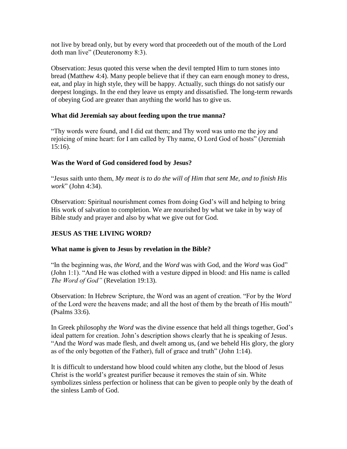not live by bread only, but by every word that proceedeth out of the mouth of the Lord doth man live" (Deuteronomy 8:3).

Observation: Jesus quoted this verse when the devil tempted Him to turn stones into bread (Matthew 4:4). Many people believe that if they can earn enough money to dress, eat, and play in high style, they will be happy. Actually, such things do not satisfy our deepest longings. In the end they leave us empty and dissatisfied. The long-term rewards of obeying God are greater than anything the world has to give us.

## **What did Jeremiah say about feeding upon the true manna?**

"Thy words were found, and I did eat them; and Thy word was unto me the joy and rejoicing of mine heart: for I am called by Thy name, O Lord God of hosts" (Jeremiah 15:16).

## **Was the Word of God considered food by Jesus?**

"Jesus saith unto them, *My meat is to do the will of Him that sent Me, and to finish His work*" (John 4:34).

Observation: Spiritual nourishment comes from doing God's will and helping to bring His work of salvation to completion. We are nourished by what we take in by way of Bible study and prayer and also by what we give out for God.

## **JESUS AS THE LIVING WORD?**

## **What name is given to Jesus by revelation in the Bible?**

"In the beginning was, *the Word,* and the *Word* was with God, and the *Word* was God" (John 1:1). "And He was clothed with a vesture dipped in blood: and His name is called *The Word of God"* (Revelation 19:13).

Observation: In Hebrew Scripture, the Word was an agent of creation. "For by the *Word* of the Lord were the heavens made; and all the host of them by the breath of His mouth" (Psalms 33:6).

In Greek philosophy *the Word* was the divine essence that held all things together, God's ideal pattern for creation. John's description shows clearly that he is speaking of Jesus. "And the *Word* was made flesh, and dwelt among us, (and we beheld His glory, the glory as of the only begotten of the Father), full of grace and truth" (John 1:14).

It is difficult to understand how blood could whiten any clothe, but the blood of Jesus Christ is the world's greatest purifier because it removes the stain of sin. White symbolizes sinless perfection or holiness that can be given to people only by the death of the sinless Lamb of God.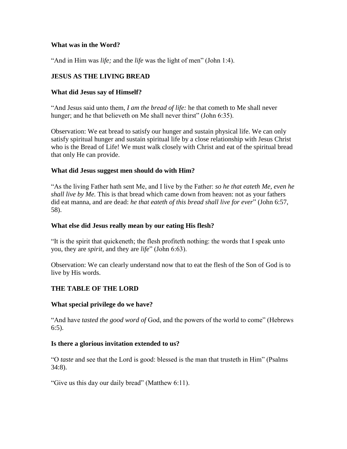#### **What was in the Word?**

"And in Him was *life;* and the *life* was the light of men" (John 1:4).

# **JESUS AS THE LIVING BREAD**

#### **What did Jesus say of Himself?**

"And Jesus said unto them, *I am the bread of life:* he that cometh to Me shall never hunger; and he that believeth on Me shall never thirst" (John 6:35).

Observation: We eat bread to satisfy our hunger and sustain physical life. We can only satisfy spiritual hunger and sustain spiritual life by a close relationship with Jesus Christ who is the Bread of Life! We must walk closely with Christ and eat of the spiritual bread that only He can provide.

#### **What did Jesus suggest men should do with Him?**

"As the living Father hath sent Me, and I live by the Father: *so he that eateth Me, even he shall live by Me.* This is that bread which came down from heaven: not as your fathers did eat manna, and are dead: *he that eateth of this bread shall live for ever*" (John 6:57, 58).

#### **What else did Jesus really mean by our eating His flesh?**

"It is the spirit that quickeneth; the flesh profiteth nothing: the words that I speak unto you, they are *spirit,* and they are *life*" (John 6:63).

Observation: We can clearly understand now that to eat the flesh of the Son of God is to live by His words.

## **THE TABLE OF THE LORD**

#### **What special privilege do we have?**

"And have *tasted the good word of* God, and the powers of the world to come" (Hebrews 6:5).

#### **Is there a glorious invitation extended to us?**

"O *taste* and see that the Lord is good: blessed is the man that trusteth in Him" (Psalms 34:8).

"Give us this day our daily bread" (Matthew 6:11).